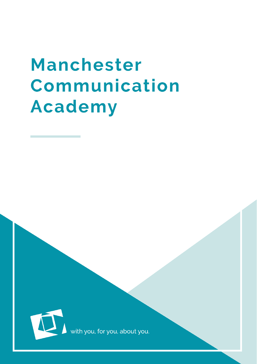# **Manchester** Communication **Academy**

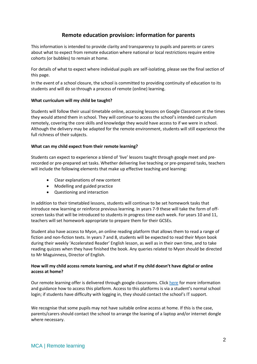# **Remote education provision: information for parents**

This information is intended to provide clarity and transparency to pupils and parents or carers about what to expect from remote education where national or local restrictions require entire cohorts (or bubbles) to remain at home.

For details of what to expect where individual pupils are self-isolating, please see the final section of this page.

In the event of a school closure, the school is committed to providing continuity of education to its students and will do so through a process of remote (online) learning.

### **What curriculum will my child be taught?**

Students will follow their usual timetable online, accessing lessons on Google Classroom at the times they would attend them in school. They will continue to access the school's intended curriculum remotely, covering the core skills and knowledge they would have access to if we were in school. Although the delivery may be adapted for the remote environment, students will still experience the full richness of their subjects.

# **What can my child expect from their remote learning?**

Students can expect to experience a blend of 'live' lessons taught through google meet and prerecorded or pre-prepared set tasks. Whether delivering live teaching or pre-prepared tasks, teachers will include the following elements that make up effective teaching and learning:

- Clear explanations of new content
- Modelling and guided practice
- Questioning and interaction

In addition to their timetabled lessons, students will continue to be set homework tasks that introduce new learning or reinforce previous learning. In years 7-9 these will take the form of offscreen tasks that will be introduced to students in progress time each week. For years 10 and 11, teachers will set homework appropriate to prepare them for their GCSEs.

Student also have access to Myon, an online reading platform that allows them to read a range of fiction and non-fiction texts. In years 7 and 8, students will be expected to read their Myon book during their weekly 'Accelerated Reader' English lesson, as well as in their own time, and to take reading quizzes when they have finished the book. Any queries related to Myon should be directed to Mr Maguinness, Director of English.

# **How will my child access remote learning, and what if my child doesn't have digital or online access at home?**

Our remote learning offer is delivered through google classrooms. Click [here](https://www.manchestercommunicationacademy.com/dlg) for more information and guidance how to access this platform. Access to this platforms is via a student's normal school login; if students have difficulty with logging in, they should contact the school's IT support.

We recognise that some pupils may not have suitable online access at home. If this is the case, parents/carers should contact the school to arrange the loaning of a laptop and/or internet dongle where necessary.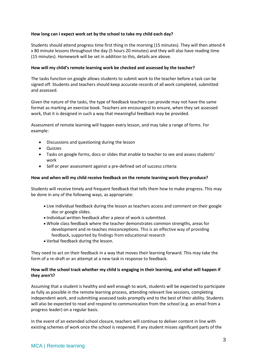# **How long can I expect work set by the school to take my child each day?**

Students should attend progress time first thing in the morning (15 minutes). They will then attend 4 x 80 minute lessons throughout the day (5 hours 20 minutes) and they will also have reading time (15 minutes). Homework will be set in addition to this, details are above.

# **How will my child's remote learning work be checked and assessed by the teacher?**

The tasks function on google allows students to submit work to the teacher before a task can be signed off. Students and teachers should keep accurate records of all work completed, submitted and assessed.

Given the nature of the tasks, the type of feedback teachers can provide may not have the same format as marking an exercise book. Teachers are encouraged to ensure, when they set assessed work, that it is designed in such a way that meaningful feedback may be provided.

Assessment of remote learning will happen every lesson, and may take a range of forms. For example:

- Discussions and questioning during the lesson
- Quizzes
- Tasks on google forms, docs or slides that enable to teacher to see and assess students' work
- Self or peer assessment against a pre-defined set of success criteria

### **How and when will my child receive feedback on the remote learning work they produce?**

Students will receive timely and frequent feedback that tells them how to make progress. This may be done in any of the following ways, as appropriate:

- Live individual feedback during the lesson as teachers access and comment on their google doc or google slides.
- Individual written feedback after a piece of work is submitted.
- Whole class feedback where the teacher demonstrates common strengths, areas for development and re-teaches misconceptions. This is an effective way of providing feedback, supported by findings from educational research
- Verbal feedback during the lesson.

They need to act on their feedback in a way that moves their learning forward. This may take the form of a re-draft or an attempt at a new task in response to feedback.

# **How will the school track whether my child is engaging in their learning, and what will happen if they aren't?**

Assuming that a student is healthy and well enough to work, students will be expected to participate as fully as possible in the remote learning process, attending relevant live sessions, completing independent work, and submitting assessed tasks promptly and to the best of their ability. Students will also be expected to read and respond to communication from the school (e.g. an email from a progress leader) on a regular basis.

In the event of an extended school closure, teachers will continue to deliver content in line with existing schemes of work once the school is reopened; if any student misses significant parts of the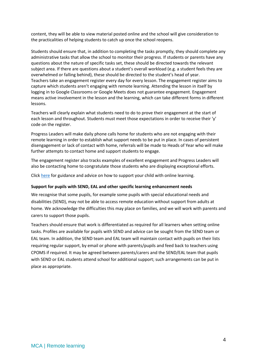content, they will be able to view material posted online and the school will give consideration to the practicalities of helping students to catch up once the school reopens.

Students should ensure that, in addition to completing the tasks promptly, they should complete any administrative tasks that allow the school to monitor their progress. If students or parents have any questions about the nature of specific tasks set, these should be directed towards the relevant subject area. If there are questions about a student's overall workload (e.g. a student feels they are overwhelmed or falling behind), these should be directed to the student's head of year. Teachers take an engagement register every day for every lesson. The engagement register aims to capture which students aren't engaging with remote learning. Attending the lesson in itself by logging in to Google Classrooms or Google Meets does not guarantee engagement. Engagement means active involvement in the lesson and the learning, which can take different forms in different lessons.

Teachers will clearly explain what students need to do to prove their engagement at the start of each lesson and throughout. Students must meet those expectations in order to receive their 'y' code on the register.

Progress Leaders will make daily phone calls home for students who are not engaging with their remote learning in order to establish what support needs to be put in place. In cases of persistent disengagement or lack of contact with home, referrals will be made to Heads of Year who will make further attempts to contact home and support students to engage.

The engagement register also tracks examples of excellent engagement and Progress Leaders will also be contacting home to congratulate those students who are displaying exceptional efforts.

Click [here](https://www.manchestercommunicationacademy.com/dlg) for guidance and advice on how to support your child with online learning.

#### **Support for pupils with SEND, EAL and other specific learning enhancement needs**

We recognise that some pupils, for example some pupils with special educational needs and disabilities (SEND), may not be able to access remote education without support from adults at home. We acknowledge the difficulties this may place on families, and we will work with parents and carers to support those pupils.

Teachers should ensure that work is differentiated as required for all learners when setting online tasks. Profiles are available for pupils with SEND and advice can be sought from the SEND team or EAL team. In addition, the SEND team and EAL team will maintain contact with pupils on their lists requiring regular support, by email or phone with parents/pupils and feed back to teachers using CPOMS if required. It may be agreed between parents/carers and the SEND/EAL team that pupils with SEND or EAL students attend school for additional support; such arrangements can be put in place as appropriate.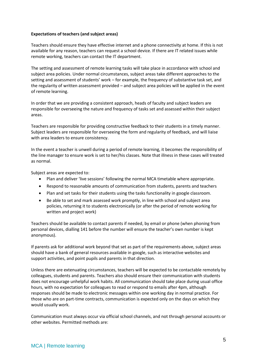# **Expectations of teachers (and subject areas)**

Teachers should ensure they have effective internet and a phone connectivity at home. If this is not available for any reason, teachers can request a school device. If there are IT related issues while remote working, teachers can contact the IT department.

The setting and assessment of remote learning tasks will take place in accordance with school and subject area policies. Under normal circumstances, subject areas take different approaches to the setting and assessment of students' work – for example, the frequency of substantive task set, and the regularity of written assessment provided – and subject area policies will be applied in the event of remote learning.

In order that we are providing a consistent approach, heads of faculty and subject leaders are responsible for overseeing the nature and frequency of tasks set and assessed within their subject areas.

Teachers are responsible for providing constructive feedback to their students in a timely manner. Subject leaders are responsible for overseeing the form and regularity of feedback, and will liaise with area leaders to ensure consistency.

In the event a teacher is unwell during a period of remote learning, it becomes the responsibility of the line manager to ensure work is set to her/his classes. Note that illness in these cases will treated as normal.

Subject areas are expected to:

- Plan and deliver 'live sessions' following the normal MCA timetable where appropriate.
- Respond to reasonable amounts of communication from students, parents and teachers
- Plan and set tasks for their students using the tasks functionality in google classroom.
- Be able to set and mark assessed work promptly, in line with school and subject area policies, returning it to students electronically (or after the period of remote working for written and project work)

Teachers should be available to contact parents if needed, by email or phone (when phoning from personal devices, dialling 141 before the number will ensure the teacher's own number is kept anonymous).

If parents ask for additional work beyond that set as part of the requirements above, subject areas should have a bank of general resources available in google, such as interactive websites and support activities, and point pupils and parents in that direction.

Unless there are extenuating circumstances, teachers will be expected to be contactable remotely by colleagues, students and parents. Teachers also should ensure their communication with students does not encourage unhelpful work habits. All communication should take place during usual office hours, with no expectation for colleagues to read or respond to emails after 4pm, although responses should be made to electronic messages within one working day in normal practice. For those who are on part-time contracts, communication is expected only on the days on which they would usually work.

Communication must always occur via official school channels, and not through personal accounts or other websites. Permitted methods are: